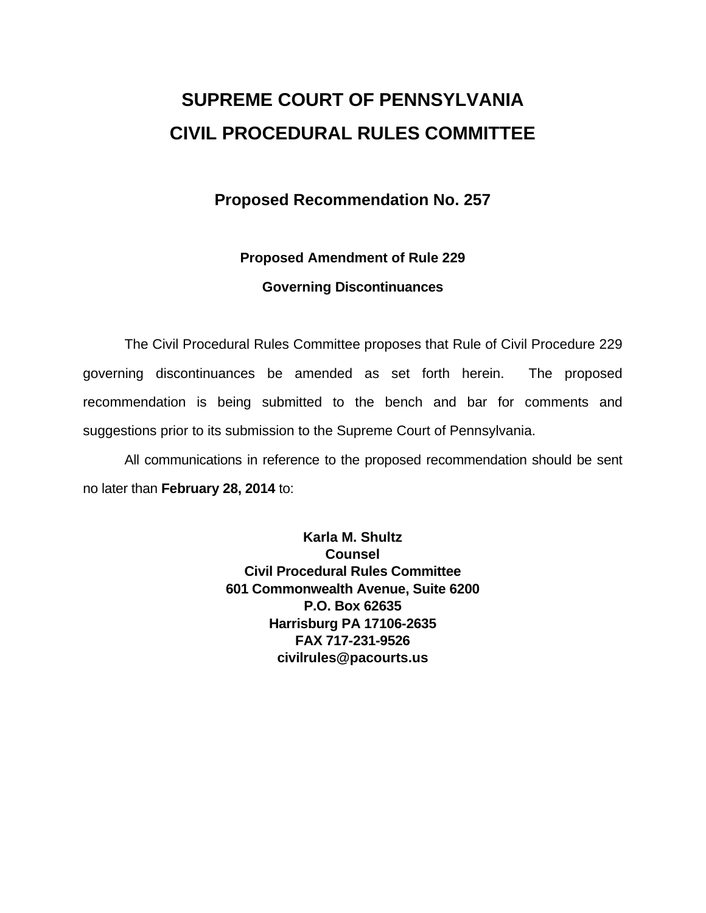## **SUPREME COURT OF PENNSYLVANIA CIVIL PROCEDURAL RULES COMMITTEE**

## **Proposed Recommendation No. 257**

# **Proposed Amendment of Rule 229**

### **Governing Discontinuances**

The Civil Procedural Rules Committee proposes that Rule of Civil Procedure 229 governing discontinuances be amended as set forth herein. The proposed recommendation is being submitted to the bench and bar for comments and suggestions prior to its submission to the Supreme Court of Pennsylvania.

All communications in reference to the proposed recommendation should be sent no later than **February 28, 2014** to:

> **Karla M. Shultz Counsel Civil Procedural Rules Committee 601 Commonwealth Avenue, Suite 6200 P.O. Box 62635 Harrisburg PA 17106-2635 FAX 717-231-9526 civilrules@pacourts.us**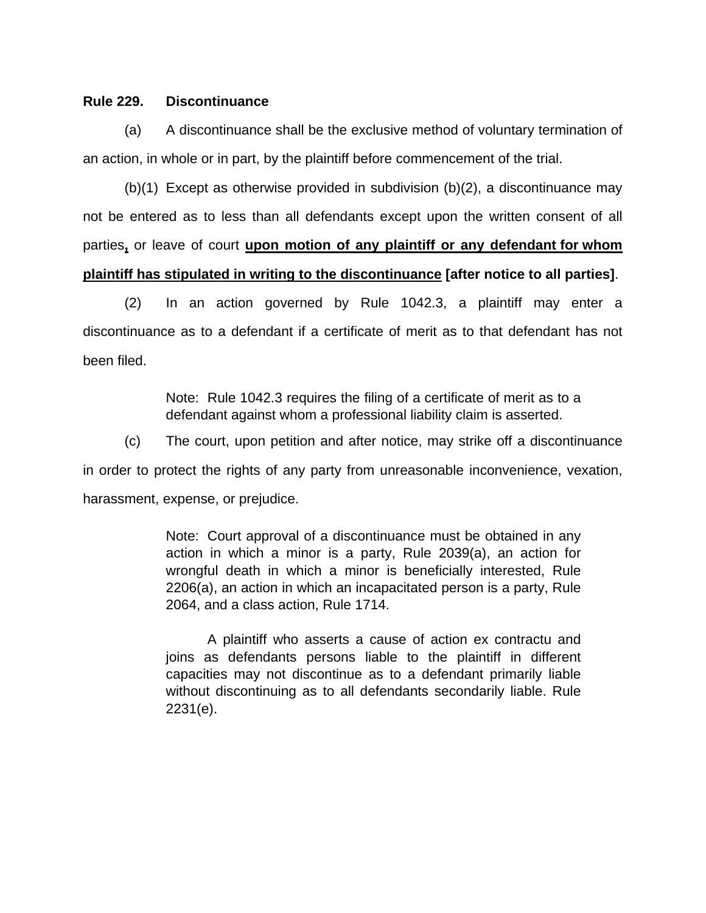### **Rule 229. Discontinuance**

(a) A discontinuance shall be the exclusive method of voluntary termination of an action, in whole or in part, by the plaintiff before commencement of the trial.

(b)(1) Except as otherwise provided in subdivision (b)(2), a discontinuance may not be entered as to less than all defendants except upon the written consent of all parties**,** or leave of court **upon motion of any plaintiff or any defendant for whom plaintiff has stipulated in writing to the discontinuance [after notice to all parties]**.

 (2) In an action governed by Rule 1042.3, a plaintiff may enter a discontinuance as to a defendant if a certificate of merit as to that defendant has not been filed.

> Note: Rule 1042.3 requires the filing of a certificate of merit as to a defendant against whom a professional liability claim is asserted.

(c) The court, upon petition and after notice, may strike off a discontinuance in order to protect the rights of any party from unreasonable inconvenience, vexation, harassment, expense, or prejudice.

> Note: Court approval of a discontinuance must be obtained in any action in which a minor is a party, Rule 2039(a), an action for wrongful death in which a minor is beneficially interested, Rule 2206(a), an action in which an incapacitated person is a party, Rule 2064, and a class action, Rule 1714.

> A plaintiff who asserts a cause of action ex contractu and joins as defendants persons liable to the plaintiff in different capacities may not discontinue as to a defendant primarily liable without discontinuing as to all defendants secondarily liable. Rule 2231(e).